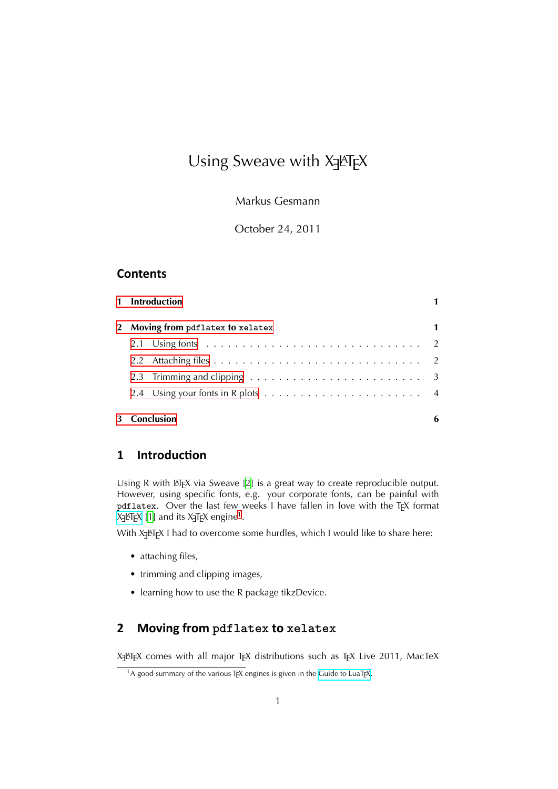# Using Sweave with X3LT<sub>E</sub>X

Markus Gesmann

October 24, 2011

## **Contents**

|                                   | 1 Introduction |   |
|-----------------------------------|----------------|---|
| 2 Moving from pdflatex to xelatex |                | 1 |
|                                   |                |   |
|                                   |                |   |
|                                   |                |   |
|                                   |                |   |
| 3 Conclusion                      |                | 6 |

# [1 Introdu](#page-5-0)ction

<span id="page-0-0"></span>Using R with LATEX via Sweave [2] is a great way to create reproducible output. However, using specific fonts, e.g. your corporate fonts, can be painful with pdflatex. Over the last few weeks I have fallen in love with the TFX format X3LYTEX [1] and its X3TEX engine<sup>1</sup>.

With XਰੁLTEX I had to overcome [som](#page-5-1)e hurdles, which I would like to share here:

- [•](http://scripts.sil.org/xetex) at[ta](#page-5-2)ching files,
- trimming and clipping images,
- learning how to use the R package tikzDevice.

# **2 Moving from pdflatex to xelatex**

<span id="page-0-1"></span>X3LYTEX comes with all major TEX distributions such as TEX Live 2011, MacTeX

 $1A$  good summary of the various T<sub>E</sub>X engines is given in the Guide to LuaT<sub>E</sub>X.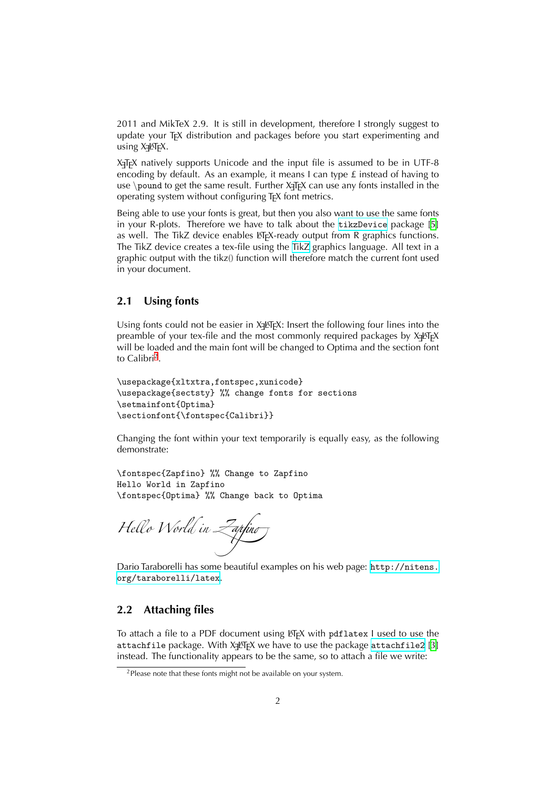2011 and MikTeX 2.9. It is still in development, therefore I strongly suggest to update your T<sub>EX</sub> distribution and packages before you start experimenting and using X<sub>3</sub>LT<sub>E</sub>X.

X TEEX natively supports Unicode and the input file is assumed to be in UTF-8 encoding by default. As an example, it means I can type  $\pm$  instead of having to use *\*pound to get the same result. Further X<sub>T</sub>F<sub>K</sub> can use any fonts installed in the operating system without configuring T<sub>F</sub>X font metrics.

Being able to use your fonts is great, but then you also want to use the same fonts in your R-plots. Therefore we have to talk about the  $\text{tikzDevice package}$  [5] as well. The TikZ device enables LATEX-ready output from R graphics functions. The TikZ device creates a tex-file using the TikZ graphics language. All text in a graphic output with the tikz() function will therefore match the current font used in your document.

## 2.1 Using fonts

<span id="page-1-0"></span>Using fonts could not be easier in X<sub>3</sub>M<sub>E</sub>X: Insert the following four lines into the preamble of your tex-file and the most commonly required packages by  $\mathsf{X}_\exists$ &T<sub>E</sub>X will be loaded and the main font will be changed to Optima and the section font to Calibri<sup>2</sup>.

```
\usepackage{xltxtra,fontspec,xunicode}
\usepackage{sectsty} %% change fonts for sections
\setmainfont{Optima}
\sectionfont{\fontspec{Calibri}}
```
Changing the font within your text temporarily is equally easy, as the following demonstrate:

```
\fontspec{Zapfino} %% Change to Zapfino
Hello World in Zapfino
\fontspec{Optima} %% Change back to Optima
```
*Hello World in Zapfino*

Dario Taraborelli has some beautiful examples on his web page: http://nitens. org/taraborelli/latex.

#### **2.2** Attaching files

To attach a file to a PDF document using LTEX with pdflatex I used to use the attachfile package. With X<del>J</del>ATEX we have to use the package  $\texttt{attachfile2}$  [3] instead. The functionality appears to be the same, so to attach a file we write:

<span id="page-1-1"></span> $2$ Please note that these fonts might not be available on your system.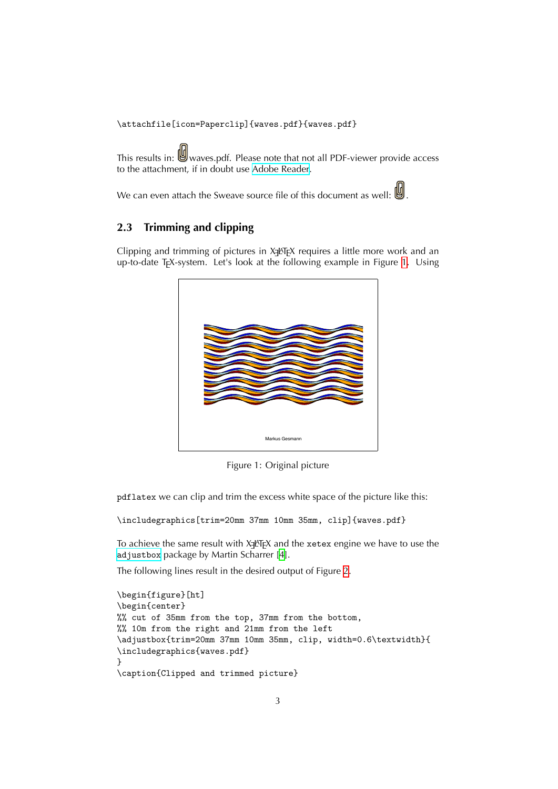\attachfile[icon=Paperclip]{waves.pdf}{waves.pdf}

This results in: Wwaves.pdf. Please note that not all PDF-viewer provide access to the attachment, if in doubt use Adobe Reader.

We can even attach the Sweave source file of this document as well:  $\mathbb{U}$ .

## **2.3** Trimming and clipping

<span id="page-2-0"></span>Clipping and trimming of pictures in X<sub>3</sub>LT<sub>E</sub>X requires a little more work and an up-to-date TEX-system. Let's look at the following example in Figure 1. Using



Figure 1: Original picture

pdflatex we can clip and trim the excess white space of the picture like this:

```
\includegraphics[trim=20mm 37mm 10mm 35mm, clip]{waves.pdf}
```
To achieve the same result with Xɟ∆TEX and the  $\mathrm{x}\texttt{etex}$  engine we have to use the adjustbox package by Martin Scharrer [4].

The following lines result in the desired output of Figure 2.

```
\begin{figure}[ht]
\begin{center}
%% cut of 35mm from the top, 37mm from the bottom,
%% 10m from the right and 21mm from the left
\adjustbox{trim=20mm 37mm 10mm 35mm, clip, width=0.6\textwidth}{
\includegraphics{waves.pdf}
}
\caption{Clipped and trimmed picture}
```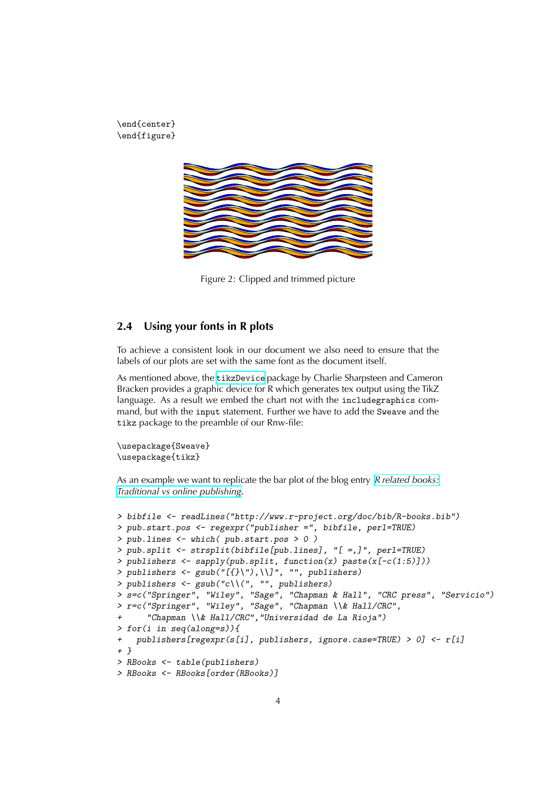\end{center} \end{figure}



Figure 2: Clipped and trimmed picture

## <span id="page-3-0"></span>**2.4** Using your fonts in R plots

To achieve a consistent look in our document we also need to ensure that the labels of our plots are set with the same font as the document itself.

As mentioned above, the tikzDevice package by Charlie Sharpsteen and Cameron Bracken provides a graphic device for R which generates tex output using the TikZ language. As a result we embed the chart not with the includegraphics command, but with the input statement. Further we have to add the Sweave and the tikz package to the preamble of our Rnw-file:

```
\usepackage{Sweave}
\usepackage{tikz}
```
As an example we want to replicate the bar plot of the blog entry *R related books: Traditional vs online publishing*.

```
> bibfile <- readLines("http://www.r-project.org/doc/bib/R-books.bib")
> pub.start.pos <- regexpr("publisher =", bibfile, perl=TRUE)
> pub.lines <- which( pub.start.pos > 0 )
> pub.split <- strsplit(bibfile[pub.lines], "[ =,]", perl=TRUE)
> publishers <- sapply(pub.split, function(x) paste(x[-c(1:5)]))
> publishers <- gsub("[{}\"),\\]", "", publishers)
> publishers <- gsub("c\\(", "", publishers)
> s=c("Springer", "Wiley", "Sage", "Chapman & Hall", "CRC press", "Servicio")
> r=c("Springer", "Wiley", "Sage", "Chapman \\& Hall/CRC",
+ "Chapman \\& Hall/CRC","Universidad de La Rioja")
> for(i in seq(along=s)){
+ publishers[regexpr(s[i], publishers, ignore.case=TRUE) > 0] <- r[i]
+ }
> RBooks <- table(publishers)
> RBooks <- RBooks[order(RBooks)]
```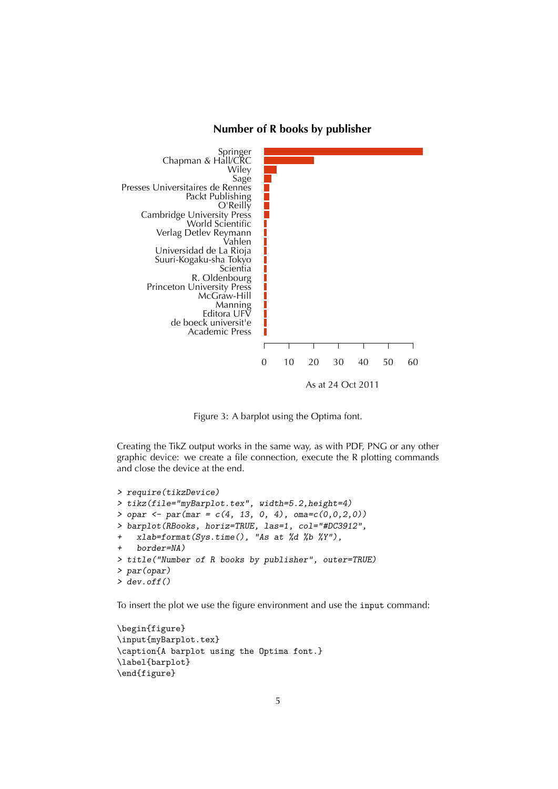



Figure 3: A barplot using the Optima font.

Creating the TikZ output works in the same way, as with PDF, PNG or any other graphic device: we create a file connection, execute the R plotting commands and close the device at the end.

```
> require(tikzDevice)
> tikz(file="myBarplot.tex", width=5.2,height=4)
> opar <- par(mar = c(4, 13, 0, 4), oma=c(0,0,2,0))
> barplot(RBooks, horiz=TRUE, las=1, col="#DC3912",
    + xlab=format(Sys.time(), "As at %d %b %Y"),
+ border=NA)
> title("Number of R books by publisher", outer=TRUE)
> par(opar)
> dev.off()
```
To insert the plot we use the figure environment and use the input command:

```
\begin{figure}
\input{myBarplot.tex}
\caption{A barplot using the Optima font.}
\label{barplot}
\end{figure}
```